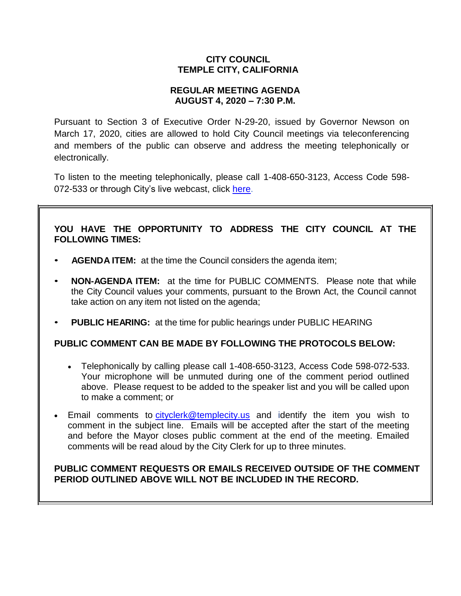# **CITY COUNCIL TEMPLE CITY, CALIFORNIA**

# **REGULAR MEETING AGENDA AUGUST 4, 2020 – 7:30 P.M.**

Pursuant to Section 3 of Executive Order N-29-20, issued by Governor Newson on March 17, 2020, cities are allowed to hold City Council meetings via teleconferencing and members of the public can observe and address the meeting telephonically or electronically.

To listen to the meeting telephonically, please call [1-408-650-3123,](tel:+16467493112,,558626973) Access Code 598 072-533 or through City's live webcast, click [here.](https://www.ci.temple-city.ca.us/516/Meeting-Webcast)

# **YOU HAVE THE OPPORTUNITY TO ADDRESS THE CITY COUNCIL AT THE FOLLOWING TIMES:**

- **AGENDA ITEM:** at the time the Council considers the agenda item;
- **NON-AGENDA ITEM:** at the time for PUBLIC COMMENTS. Please note that while the City Council values your comments, pursuant to the Brown Act, the Council cannot take action on any item not listed on the agenda;
- **PUBLIC HEARING:** at the time for public hearings under PUBLIC HEARING

## **PUBLIC COMMENT CAN BE MADE BY FOLLOWING THE PROTOCOLS BELOW:**

- Telephonically by calling please call 1-408-650-3123, Access Code 598-072-533. Your microphone will be unmuted during one of the comment period outlined above. Please request to be added to the speaker list and you will be called upon to make a comment; or
- Email comments to [cityclerk@templecity.us](mailto:cityclerk@templecity.us) and identify the item you wish to comment in the subject line. Emails will be accepted after the start of the meeting and before the Mayor closes public comment at the end of the meeting. Emailed comments will be read aloud by the City Clerk for up to three minutes.

# **PUBLIC COMMENT REQUESTS OR EMAILS RECEIVED OUTSIDE OF THE COMMENT PERIOD OUTLINED ABOVE WILL NOT BE INCLUDED IN THE RECORD.**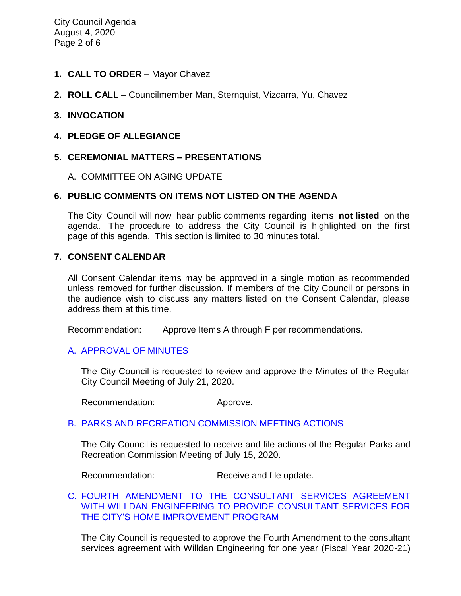- **1. CALL TO ORDER**  Mayor Chavez
- **2. ROLL CALL**  Councilmember Man, Sternquist, Vizcarra, Yu, Chavez

### **3. INVOCATION**

**4. PLEDGE OF ALLEGIANCE**

## **5. CEREMONIAL MATTERS – PRESENTATIONS**

#### A. COMMITTEE ON AGING UPDATE

### **6. PUBLIC COMMENTS ON ITEMS NOT LISTED ON THE AGENDA**

The City Council will now hear public comments regarding items **not listed** on the agenda. The procedure to address the City Council is highlighted on the first page of this agenda. This section is limited to 30 minutes total.

#### **7. CONSENT CALENDAR**

All Consent Calendar items may be approved in a single motion as recommended unless removed for further discussion. If members of the City Council or persons in the audience wish to discuss any matters listed on the Consent Calendar, please address them at this time.

Recommendation: Approve Items A through F per recommendations.

#### A. [APPROVAL](https://ca-templecity.civicplus.com/DocumentCenter/View/14868/02-7A-CCM---2020-07-21) OF MINUTES

The City Council is requested to review and approve the Minutes of the Regular City Council Meeting of July 21, 2020.

Recommendation: Approve.

#### B. PARKS AND RECREATION [COMMISSION MEETING ACTIONS](https://ca-templecity.civicplus.com/DocumentCenter/View/14869/03-7B-Parks-and-Recreation-Commission-Meeting-Actions-2020-07-15)

The City Council is requested to receive and file actions of the Regular Parks and Recreation Commission Meeting of July 15, 2020.

Recommendation: Receive and file update.

### [C.](https://ca-templecity.civicplus.com/DocumentCenter/View/14873/04-7C-Amendment-to-Agreement-with-Willdan-Engineering_Staff-Report-w-attachments) [FOURTH AMENDMENT TO THE CONSULTANT SERVICES AGREEMENT](https://ca-templecity.civicplus.com/DocumentCenter/View/14873/04-7C-Amendment-to-Agreement-with-Willdan-Engineering_Staff-Report-w-attachments)  [WITH WILLDAN ENGINEERING TO PROVIDE CONSULTANT SERVICES FOR](https://ca-templecity.civicplus.com/DocumentCenter/View/14873/04-7C-Amendment-to-Agreement-with-Willdan-Engineering_Staff-Report-w-attachments)  [THE CITY'S HOME IMPROVEMENT PROGRAM](https://ca-templecity.civicplus.com/DocumentCenter/View/14873/04-7C-Amendment-to-Agreement-with-Willdan-Engineering_Staff-Report-w-attachments)

The City Council is requested to approve the Fourth Amendment to the consultant services agreement with Willdan Engineering for one year (Fiscal Year 2020-21)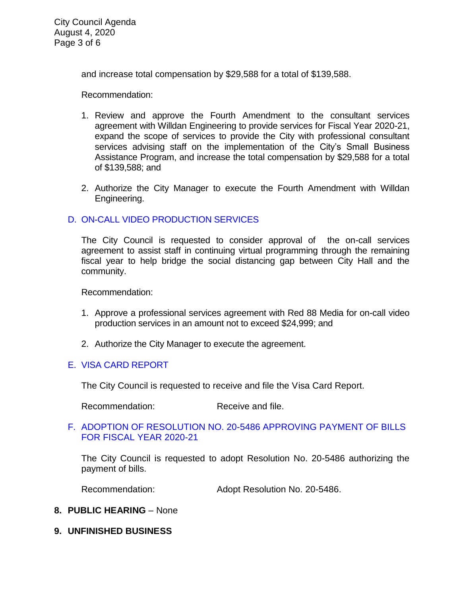City Council Agenda August 4, 2020 Page 3 of 6

and increase total compensation by \$29,588 for a total of \$139,588.

Recommendation:

- 1. Review and approve the Fourth Amendment to the consultant services agreement with Willdan Engineering to provide services for Fiscal Year 2020-21, expand the scope of services to provide the City with professional consultant services advising staff on the implementation of the City's Small Business Assistance Program, and increase the total compensation by \$29,588 for a total of \$139,588; and
- 2. Authorize the City Manager to execute the Fourth Amendment with Willdan Engineering.

## D. [ON-CALL VIDEO PRODUCTION SERVICES](https://ca-templecity.civicplus.com/DocumentCenter/View/14870/05-7D-Red-88-Media-OnCall-Services_Staff-Report-final)

The City Council is requested to consider approval of the on-call services agreement to assist staff in continuing virtual programming through the remaining fiscal year to help bridge the social distancing gap between City Hall and the community.

Recommendation:

- 1. Approve a professional services agreement with Red 88 Media for on-call video production services in an amount not to exceed \$24,999; and
- 2. Authorize the City Manager to execute the agreement.

#### E. [VISA CARD REPORT](https://ca-templecity.civicplus.com/DocumentCenter/View/14871/06-7E-Visa-Card-Report)

The City Council is requested to receive and file the Visa Card Report.

Recommendation: Receive and file.

### F. [ADOPTION OF RESOLUTION NO. 20-5486](https://ca-templecity.civicplus.com/DocumentCenter/View/14864/07-7F-CC-Warrant) APPROVING PAYMENT OF BILLS [FOR FISCAL YEAR 2020-21](https://ca-templecity.civicplus.com/DocumentCenter/View/14864/07-7F-CC-Warrant)

The City Council is requested to adopt Resolution No. 20-5486 authorizing the payment of bills.

Recommendation: Adopt Resolution No. 20-5486.

#### **8. PUBLIC HEARING** – None

**9. UNFINISHED BUSINESS**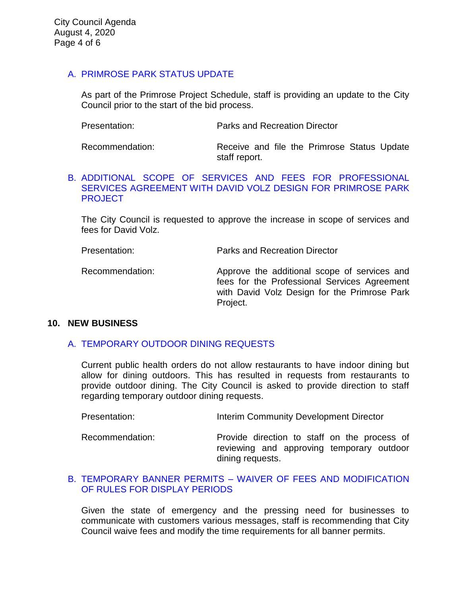# A. [PRIMROSE PARK STATUS UPDATE](https://ca-templecity.civicplus.com/DocumentCenter/View/14865/08-9A-Primrose-Park-Project-Update---Staff-Report)

As part of the Primrose Project Schedule, staff is providing an update to the City Council prior to the start of the bid process.

Recommendation: Receive and file the Primrose Status Update staff report.

### B. [ADDITIONAL SCOPE OF SERVICES AND FEES FOR PROFESSIONAL](https://ca-templecity.civicplus.com/DocumentCenter/View/14866/09-9B-Amendment-to-David-Volz-Agreement-for-Primrose-Park-Design---Staff-Report)  SERVICES AGREEMENT [WITH DAVID VOLZ DESIGN FOR PRIMROSE PARK](https://ca-templecity.civicplus.com/DocumentCenter/View/14866/09-9B-Amendment-to-David-Volz-Agreement-for-Primrose-Park-Design---Staff-Report)  **[PROJECT](https://ca-templecity.civicplus.com/DocumentCenter/View/14866/09-9B-Amendment-to-David-Volz-Agreement-for-Primrose-Park-Design---Staff-Report)**

The City Council is requested to approve the increase in scope of services and fees for David Volz.

Presentation: Parks and Recreation Director

Recommendation: Approve the additional scope of services and fees for the Professional Services Agreement with David Volz Design for the Primrose Park Project.

### **10. NEW BUSINESS**

## A. [TEMPORARY OUTDOOR DINING REQUESTS](https://ca-templecity.civicplus.com/DocumentCenter/View/14867/10-10A-Temporary-Outdoor-Dining-Application---Staff-Report)

Current public health orders do not allow restaurants to have indoor dining but allow for dining outdoors. This has resulted in requests from restaurants to provide outdoor dining. The City Council is asked to provide direction to staff regarding temporary outdoor dining requests.

| Presentation: | Interim Community Development Director |
|---------------|----------------------------------------|
|---------------|----------------------------------------|

Recommendation: Provide direction to staff on the process of reviewing and approving temporary outdoor dining requests.

## B. TEMPORARY BANNER PERMITS – [WAIVER OF FEES AND MODIFICATION](https://ca-templecity.civicplus.com/DocumentCenter/View/14874/11-10B-Banner-Permits_Staff-Report_Final)  OF RULES [FOR DISPLAY PERIODS](https://ca-templecity.civicplus.com/DocumentCenter/View/14874/11-10B-Banner-Permits_Staff-Report_Final)

Given the state of emergency and the pressing need for businesses to communicate with customers various messages, staff is recommending that City Council waive fees and modify the time requirements for all banner permits.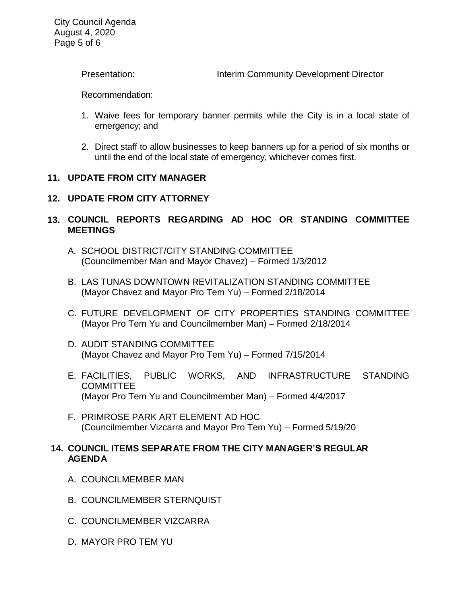City Council Agenda August 4, 2020 Page 5 of 6

Presentation: Interim Community Development Director

Recommendation:

- 1. Waive fees for temporary banner permits while the City is in a local state of emergency; and
- 2. Direct staff to allow businesses to keep banners up for a period of six months or until the end of the local state of emergency, whichever comes first.

### **11. UPDATE FROM CITY MANAGER**

# **12. UPDATE FROM CITY ATTORNEY**

# **13. COUNCIL REPORTS REGARDING AD HOC OR STANDING COMMITTEE MEETINGS**

- A. SCHOOL DISTRICT/CITY STANDING COMMITTEE (Councilmember Man and Mayor Chavez) – Formed 1/3/2012
- B. LAS TUNAS DOWNTOWN REVITALIZATION STANDING COMMITTEE (Mayor Chavez and Mayor Pro Tem Yu) – Formed 2/18/2014
- C. FUTURE DEVELOPMENT OF CITY PROPERTIES STANDING COMMITTEE (Mayor Pro Tem Yu and Councilmember Man) – Formed 2/18/2014
- D. AUDIT STANDING COMMITTEE (Mayor Chavez and Mayor Pro Tem Yu) – Formed 7/15/2014
- E. FACILITIES, PUBLIC WORKS, AND INFRASTRUCTURE STANDING **COMMITTEE** (Mayor Pro Tem Yu and Councilmember Man) – Formed 4/4/2017
- F. PRIMROSE PARK ART ELEMENT AD HOC (Councilmember Vizcarra and Mayor Pro Tem Yu) – Formed 5/19/20

## **14. COUNCIL ITEMS SEPARATE FROM THE CITY MANAGER'S REGULAR AGENDA**

- A. COUNCILMEMBER MAN
- B. COUNCILMEMBER STERNQUIST
- C. COUNCILMEMBER VIZCARRA
- D. MAYOR PRO TEM YU